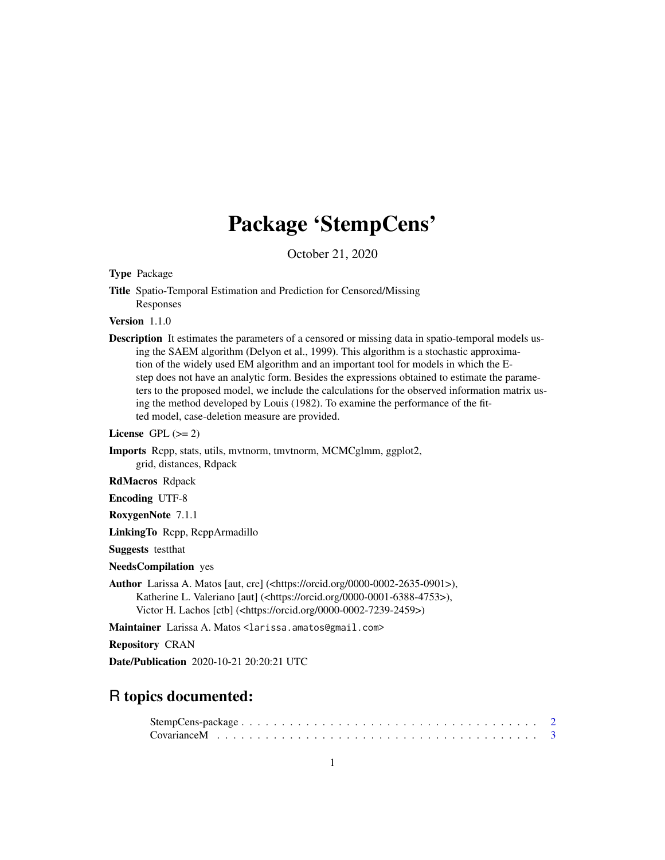## Package 'StempCens'

October 21, 2020

<span id="page-0-0"></span>Type Package

Title Spatio-Temporal Estimation and Prediction for Censored/Missing Responses

Version 1.1.0

Description It estimates the parameters of a censored or missing data in spatio-temporal models using the SAEM algorithm (Delyon et al., 1999). This algorithm is a stochastic approximation of the widely used EM algorithm and an important tool for models in which the Estep does not have an analytic form. Besides the expressions obtained to estimate the parameters to the proposed model, we include the calculations for the observed information matrix using the method developed by Louis (1982). To examine the performance of the fitted model, case-deletion measure are provided.

License GPL  $(>= 2)$ 

Imports Rcpp, stats, utils, mvtnorm, tmvtnorm, MCMCglmm, ggplot2, grid, distances, Rdpack

RdMacros Rdpack

Encoding UTF-8

RoxygenNote 7.1.1

LinkingTo Rcpp, RcppArmadillo

Suggests testthat

NeedsCompilation yes

Author Larissa A. Matos [aut, cre] (<https://orcid.org/0000-0002-2635-0901>), Katherine L. Valeriano [aut] (<https://orcid.org/0000-0001-6388-4753>), Victor H. Lachos [ctb] (<https://orcid.org/0000-0002-7239-2459>)

Maintainer Larissa A. Matos <larissa.amatos@gmail.com>

Repository CRAN

Date/Publication 2020-10-21 20:20:21 UTC

### R topics documented: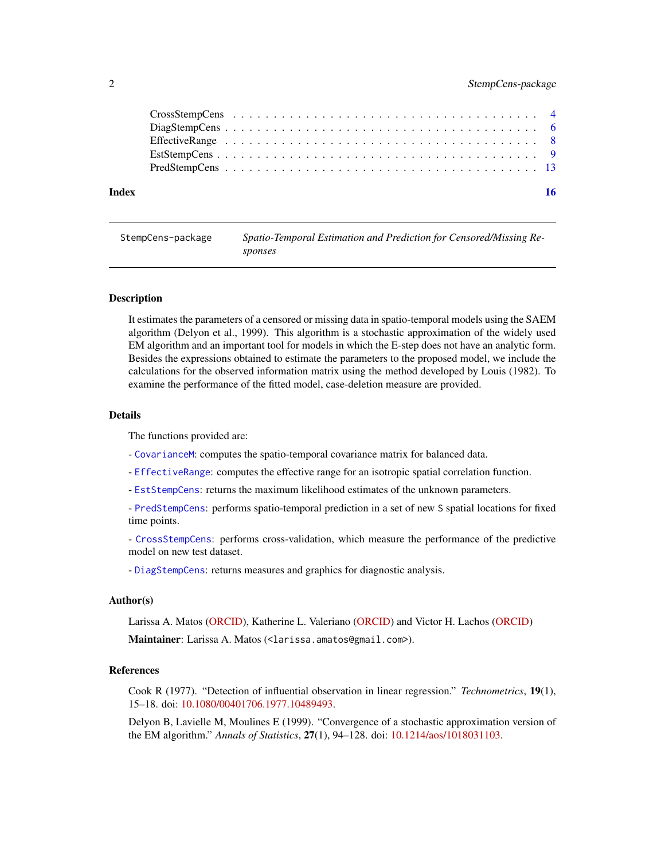<span id="page-1-0"></span>

| Index |  |  |
|-------|--|--|

| StempCens-package | Spatio-Temporal Estimation and Prediction for Censored/Missing Re- |
|-------------------|--------------------------------------------------------------------|
|                   | sponses                                                            |

#### **Description**

It estimates the parameters of a censored or missing data in spatio-temporal models using the SAEM algorithm (Delyon et al., 1999). This algorithm is a stochastic approximation of the widely used EM algorithm and an important tool for models in which the E-step does not have an analytic form. Besides the expressions obtained to estimate the parameters to the proposed model, we include the calculations for the observed information matrix using the method developed by Louis (1982). To examine the performance of the fitted model, case-deletion measure are provided.

#### Details

The functions provided are:

- [CovarianceM](#page-2-1): computes the spatio-temporal covariance matrix for balanced data.
- [EffectiveRange](#page-7-1): computes the effective range for an isotropic spatial correlation function.
- [EstStempCens](#page-8-1): returns the maximum likelihood estimates of the unknown parameters.

- [PredStempCens](#page-12-1): performs spatio-temporal prediction in a set of new S spatial locations for fixed time points.

- [CrossStempCens](#page-3-1): performs cross-validation, which measure the performance of the predictive model on new test dataset.

- [DiagStempCens](#page-5-1): returns measures and graphics for diagnostic analysis.

#### Author(s)

Larissa A. Matos [\(ORCID\)](https://orcid.org/0000-0002-2635-0901), Katherine L. Valeriano [\(ORCID\)](https://orcid.org/0000-0001-6388-4753) and Victor H. Lachos [\(ORCID\)](https://orcid.org/0000-0002-7239-2459)

Maintainer: Larissa A. Matos (<larissa.amatos@gmail.com>).

#### References

Cook R (1977). "Detection of influential observation in linear regression." *Technometrics*, 19(1), 15–18. doi: [10.1080/00401706.1977.10489493.](https://doi.org/10.1080/00401706.1977.10489493)

Delyon B, Lavielle M, Moulines E (1999). "Convergence of a stochastic approximation version of the EM algorithm." *Annals of Statistics*, 27(1), 94–128. doi: [10.1214/aos/1018031103.](https://doi.org/10.1214/aos/1018031103)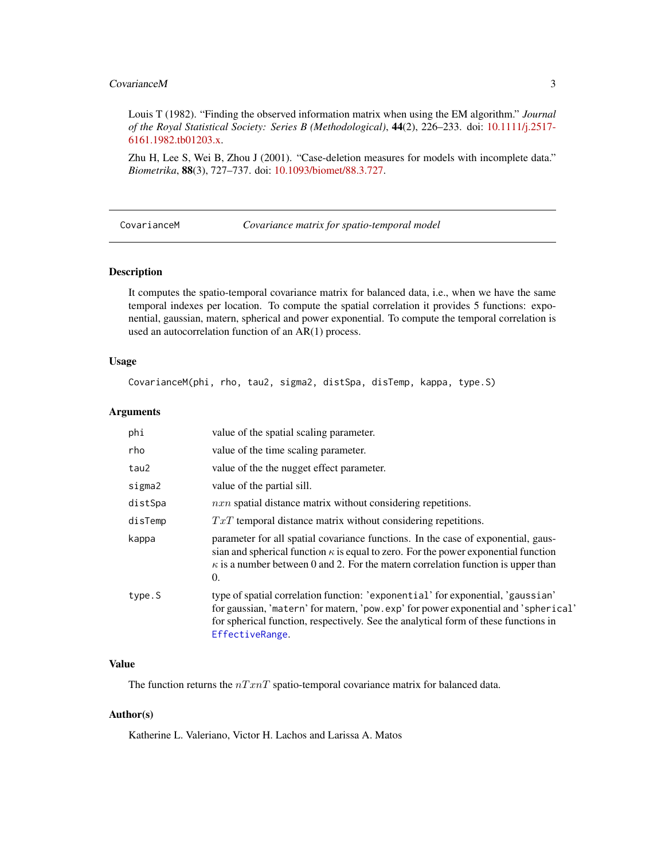#### <span id="page-2-0"></span>CovarianceM 3

Louis T (1982). "Finding the observed information matrix when using the EM algorithm." *Journal of the Royal Statistical Society: Series B (Methodological)*, 44(2), 226–233. doi: [10.1111/j.2517-](https://doi.org/10.1111/j.2517-6161.1982.tb01203.x) [6161.1982.tb01203.x.](https://doi.org/10.1111/j.2517-6161.1982.tb01203.x)

Zhu H, Lee S, Wei B, Zhou J (2001). "Case-deletion measures for models with incomplete data." *Biometrika*, 88(3), 727–737. doi: [10.1093/biomet/88.3.727.](https://doi.org/10.1093/biomet/88.3.727)

<span id="page-2-1"></span>CovarianceM *Covariance matrix for spatio-temporal model*

#### Description

It computes the spatio-temporal covariance matrix for balanced data, i.e., when we have the same temporal indexes per location. To compute the spatial correlation it provides 5 functions: exponential, gaussian, matern, spherical and power exponential. To compute the temporal correlation is used an autocorrelation function of an AR(1) process.

#### Usage

CovarianceM(phi, rho, tau2, sigma2, distSpa, disTemp, kappa, type.S)

#### Arguments

| phi     | value of the spatial scaling parameter.                                                                                                                                                                                                                                         |
|---------|---------------------------------------------------------------------------------------------------------------------------------------------------------------------------------------------------------------------------------------------------------------------------------|
| rho     | value of the time scaling parameter.                                                                                                                                                                                                                                            |
| tau2    | value of the the nugget effect parameter.                                                                                                                                                                                                                                       |
| sigma2  | value of the partial sill.                                                                                                                                                                                                                                                      |
| distSpa | $n x n$ spatial distance matrix without considering repetitions.                                                                                                                                                                                                                |
| disTemp | $TxT$ temporal distance matrix without considering repetitions.                                                                                                                                                                                                                 |
| kappa   | parameter for all spatial covariance functions. In the case of exponential, gaus-<br>sian and spherical function $\kappa$ is equal to zero. For the power exponential function<br>$\kappa$ is a number between 0 and 2. For the matern correlation function is upper than<br>0. |
| type.S  | type of spatial correlation function: 'exponential' for exponential, 'gaussian'<br>for gaussian, 'matern' for matern, 'pow.exp' for power exponential and 'spherical'<br>for spherical function, respectively. See the analytical form of these functions in<br>EffectiveRange. |

#### Value

The function returns the  $nTrnT$  spatio-temporal covariance matrix for balanced data.

#### Author(s)

Katherine L. Valeriano, Victor H. Lachos and Larissa A. Matos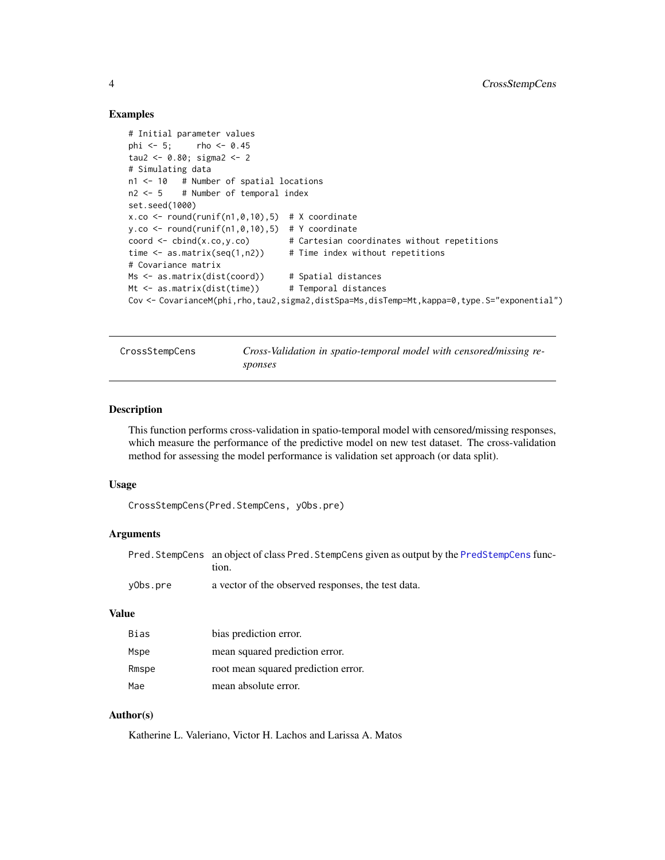#### Examples

```
# Initial parameter values
phi <-5; rho <-0.45tau2 <- 0.80; sigma2 <- 2
# Simulating data
n1 <- 10 # Number of spatial locations
n2 < -5 # Number of temporal index
set.seed(1000)
x.co \le round(runif(n1,0,10),5) # X coordinate
y.co \le round(runif(n1,0,10),5) # Y coordinate
coord \le - cbind(x.co,y.co) \qquad # Cartesian coordinates without repetitions
time \leq as.matrix(seq(1,n2)) # Time index without repetitions
# Covariance matrix
Ms <- as.matrix(dist(coord)) # Spatial distances
Mt <- as.matrix(dist(time)) # Temporal distances
Cov <- CovarianceM(phi,rho,tau2,sigma2,distSpa=Ms,disTemp=Mt,kappa=0,type.S="exponential")
```
<span id="page-3-1"></span>CrossStempCens *Cross-Validation in spatio-temporal model with censored/missing responses*

#### Description

This function performs cross-validation in spatio-temporal model with censored/missing responses, which measure the performance of the predictive model on new test dataset. The cross-validation method for assessing the model performance is validation set approach (or data split).

#### Usage

```
CrossStempCens(Pred.StempCens, yObs.pre)
```
#### Arguments

| Pred. StempCens an object of class Pred. StempCens given as output by the PredStempCens func- |
|-----------------------------------------------------------------------------------------------|
| tion.                                                                                         |

```
yObs.pre a vector of the observed responses, the test data.
```
#### Value

| Bias  | bias prediction error.              |
|-------|-------------------------------------|
| Mspe  | mean squared prediction error.      |
| Rmspe | root mean squared prediction error. |
| Mae   | mean absolute error.                |

#### Author(s)

Katherine L. Valeriano, Victor H. Lachos and Larissa A. Matos

<span id="page-3-0"></span>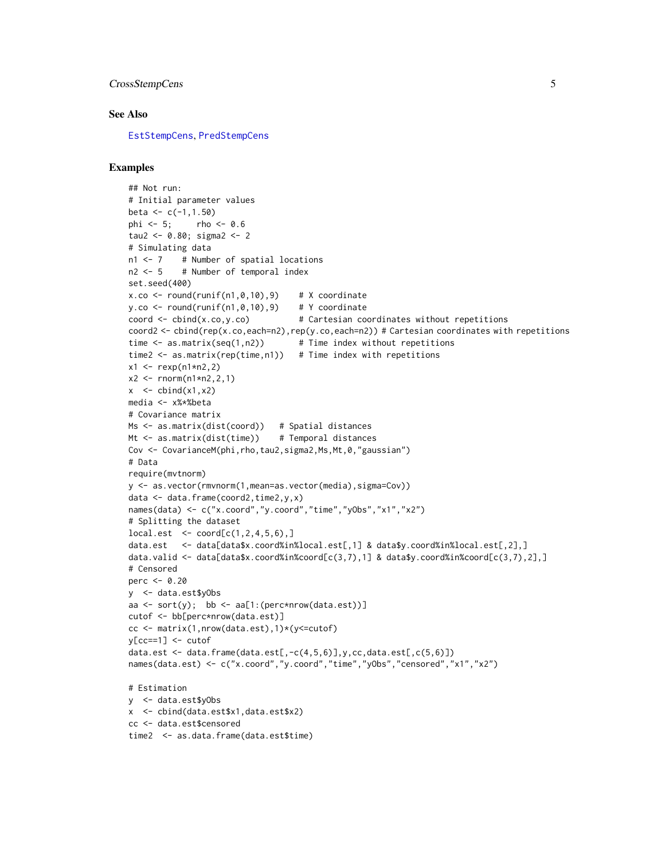#### <span id="page-4-0"></span>CrossStempCens 5

#### See Also

[EstStempCens](#page-8-1), [PredStempCens](#page-12-1)

```
## Not run:
# Initial parameter values
beta \leq c(-1, 1.50)phi <- 5; rho <- 0.6
tau2 <- 0.80; sigma2 <- 2
# Simulating data
n1 <- 7 # Number of spatial locations
n2 <- 5 # Number of temporal index
set.seed(400)
x.co \le round(runif(n1,0,10),9) # X coordinate
y.co \le round(runif(n1,0,10),9) # Y coordinate
coord \le cbind(x.co,y.co) \qquad # Cartesian coordinates without repetitions
coord2 <- cbind(rep(x.co,each=n2),rep(y.co,each=n2)) # Cartesian coordinates with repetitions
time \leq as.matrix(seq(1,n2)) # Time index without repetitions
time2 \leq as.matrix(rep(time,n1)) # Time index with repetitions
x1 \le - rexp(n1*n2,2)
x2 \le - rnorm(n1*n2,2,1)
x \le- cbind(x1, x2)media <- x%*%beta
# Covariance matrix
Ms <- as.matrix(dist(coord)) # Spatial distances
Mt <- as.matrix(dist(time)) # Temporal distances
Cov <- CovarianceM(phi,rho,tau2,sigma2,Ms,Mt,0,"gaussian")
# Data
require(mvtnorm)
y <- as.vector(rmvnorm(1,mean=as.vector(media),sigma=Cov))
data <- data.frame(coord2,time2,y,x)
names(data) <- c("x.coord","y.coord","time","yObs","x1","x2")
# Splitting the dataset
local.set <-cord[c(1,2,4,5,6),]data.est <- data[data$x.coord%in%local.est[,1] & data$y.coord%in%local.est[,2],]
data.valid \leq data[data$x.coord%in%coord[c(3,7),1] & data$y.coord%in%coord[c(3,7),2],]
# Censored
perc <- 0.20
y <- data.est$yObs
aa \le sort(y); bb \le aa[1:(perc*nrow(data.est))]
cutof <- bb[perc*nrow(data.est)]
cc <- matrix(1,nrow(data.est),1)*(y<=cutof)
y[cc==1] <- cutof
data.est \leq data.frame(data.est[,-c(4,5,6)],y,cc,data.est[,c(5,6)])
names(data.est) <- c("x.coord","y.coord","time","yObs","censored","x1","x2")
# Estimation
y <- data.est$yObs
x <- cbind(data.est$x1,data.est$x2)
cc <- data.est$censored
time2 <- as.data.frame(data.est$time)
```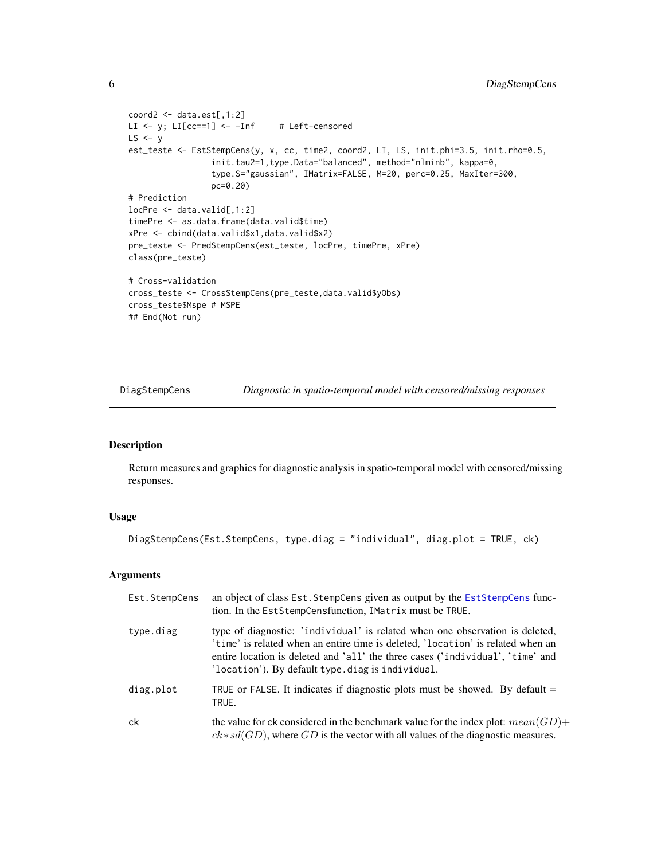```
coord2 \leftarrow data.set[, 1:2]LI <- y; LI[cc==1] <- -Inf # Left-censored
LS < -yest_teste <- EstStempCens(y, x, cc, time2, coord2, LI, LS, init.phi=3.5, init.rho=0.5,
                 init.tau2=1,type.Data="balanced", method="nlminb", kappa=0,
                 type.S="gaussian", IMatrix=FALSE, M=20, perc=0.25, MaxIter=300,
                 pc=0.20)
# Prediction
locPre <- data.valid[,1:2]
timePre <- as.data.frame(data.valid$time)
xPre <- cbind(data.valid$x1,data.valid$x2)
pre_teste <- PredStempCens(est_teste, locPre, timePre, xPre)
class(pre_teste)
# Cross-validation
cross_teste <- CrossStempCens(pre_teste,data.valid$yObs)
cross_teste$Mspe # MSPE
## End(Not run)
```
<span id="page-5-1"></span>DiagStempCens *Diagnostic in spatio-temporal model with censored/missing responses*

#### Description

Return measures and graphics for diagnostic analysis in spatio-temporal model with censored/missing responses.

#### Usage

```
DiagStempCens(Est.StempCens, type.diag = "individual", diag.plot = TRUE, ck)
```

| Est.StempCens | an object of class Est. StempCens given as output by the EstStempCens func-<br>tion. In the EstStempCensfunction, IMatrix must be TRUE.                                                                                                                                                                |
|---------------|--------------------------------------------------------------------------------------------------------------------------------------------------------------------------------------------------------------------------------------------------------------------------------------------------------|
| type.diag     | type of diagnostic: 'individual' is related when one observation is deleted,<br>'time' is related when an entire time is deleted, 'location' is related when an<br>entire location is deleted and 'all' the three cases ('individual', 'time' and<br>'location'). By default type. diag is individual. |
| diag.plot     | TRUE or FALSE. It indicates if diagnostic plots must be showed. By default $=$<br>TRUE.                                                                                                                                                                                                                |
| ck            | the value for ck considered in the benchmark value for the index plot: $mean(GD)$ +<br>$ck * sd(GD)$ , where GD is the vector with all values of the diagnostic measures.                                                                                                                              |

<span id="page-5-0"></span>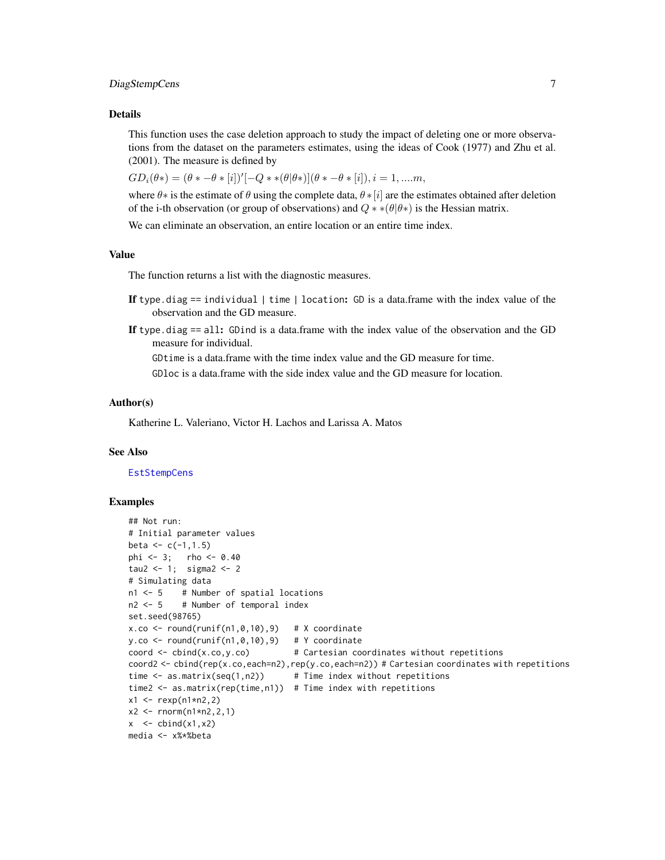#### <span id="page-6-0"></span>DiagStempCens 7

#### Details

This function uses the case deletion approach to study the impact of deleting one or more observations from the dataset on the parameters estimates, using the ideas of Cook (1977) and Zhu et al. (2001). The measure is defined by

 $GD_i(\theta*) = (\theta * -\theta * [i])'[-Q * *(\theta | \theta *)](\theta * -\theta * [i]), i = 1, ....m,$ 

where  $\theta$ ∗ is the estimate of  $\theta$  using the complete data,  $\theta$  ∗[i] are the estimates obtained after deletion of the i-th observation (or group of observations) and  $Q \ast \ast (\theta | \theta \ast)$  is the Hessian matrix.

We can eliminate an observation, an entire location or an entire time index.

#### Value

The function returns a list with the diagnostic measures.

- If type.diag  $==$  individual  $|$  time  $|$  location: GD is a data.frame with the index value of the observation and the GD measure.
- If type. diag  $==$  all: GDind is a data.frame with the index value of the observation and the GD measure for individual.

GDtime is a data.frame with the time index value and the GD measure for time.

GDloc is a data.frame with the side index value and the GD measure for location.

#### Author(s)

Katherine L. Valeriano, Victor H. Lachos and Larissa A. Matos

#### See Also

**[EstStempCens](#page-8-1)** 

```
## Not run:
# Initial parameter values
beta <-c(-1,1.5)phi <- 3; rho <- 0.40
tau2 <-1; sigma2 <-2# Simulating data
n1 <- 5 # Number of spatial locations
n2 <- 5 # Number of temporal index
set.seed(98765)
x.co \leftarrow round(runif(n1,0,10),9) # X coordinate
y.co <- round(runif(n1,0,10),9) # Y coordinate
coord \le cbind(x.co,y.co) # Cartesian coordinates without repetitions
coord2 <- cbind(rep(x.co,each=n2),rep(y.co,each=n2)) # Cartesian coordinates with repetitions
time \leq as.matrix(seq(1,n2)) # Time index without repetitions
time2 \leq as.matrix(rep(time,n1)) # Time index with repetitions
x1 \le - rexp(n1*n2,2)
x2 \le rnorm(n1*n2,2,1)
x \le - cbind(x1, x2)
media <- x%*%beta
```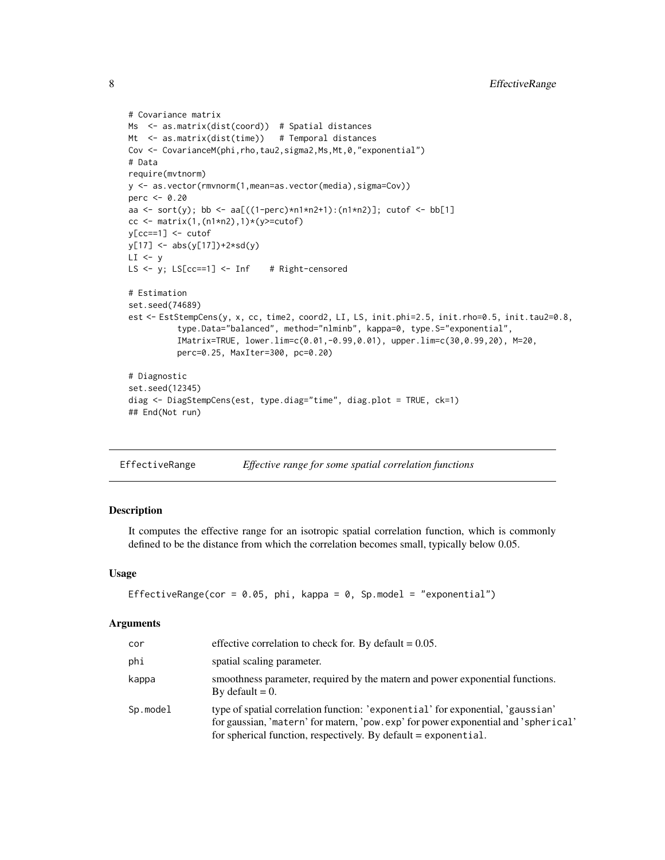```
# Covariance matrix
Ms <- as.matrix(dist(coord)) # Spatial distances
Mt <- as.matrix(dist(time)) # Temporal distances
Cov <- CovarianceM(phi, rho, tau2, sigma2, Ms, Mt, 0, "exponential")
# Data
require(mvtnorm)
y <- as.vector(rmvnorm(1,mean=as.vector(media),sigma=Cov))
perc <- 0.20
aa <- sort(y); bb <- aa[((1-perc)*n1*n2+1):(n1*n2)]; cutof <- bb[1]
cc <- matrix(1,(n1*n2),1)*(y>=cutoff)y[cc==1] <- cutof
y[17] <- abs(y[17])+2*sd(y)
LI < -yLS \leftarrow y; LS[cc==1] \leftarrow Inf # Right-censored
# Estimation
set.seed(74689)
est <- EstStempCens(y, x, cc, time2, coord2, LI, LS, init.phi=2.5, init.rho=0.5, init.tau2=0.8,
          type.Data="balanced", method="nlminb", kappa=0, type.S="exponential",
          IMatrix=TRUE, lower.lim=c(0.01,-0.99,0.01), upper.lim=c(30,0.99,20), M=20,
          perc=0.25, MaxIter=300, pc=0.20)
# Diagnostic
set.seed(12345)
diag <- DiagStempCens(est, type.diag="time", diag.plot = TRUE, ck=1)
## End(Not run)
```

```
EffectiveRange Effective range for some spatial correlation functions
```
#### Description

It computes the effective range for an isotropic spatial correlation function, which is commonly defined to be the distance from which the correlation becomes small, typically below 0.05.

#### Usage

```
EffectiveRange(cor = 0.05, phi, kappa = 0, Sp.model = "exponential")
```

| cor      | effective correlation to check for. By default $= 0.05$ .                                                                                                                                                                                  |
|----------|--------------------------------------------------------------------------------------------------------------------------------------------------------------------------------------------------------------------------------------------|
| phi      | spatial scaling parameter.                                                                                                                                                                                                                 |
| kappa    | smoothness parameter, required by the matern and power exponential functions.<br>By default $= 0$ .                                                                                                                                        |
| Sp.model | type of spatial correlation function: 'exponential' for exponential, 'gaussian'<br>for gaussian, 'matern' for matern, 'pow.exp' for power exponential and 'spherical'<br>for spherical function, respectively. By default $=$ exponential. |

<span id="page-7-0"></span>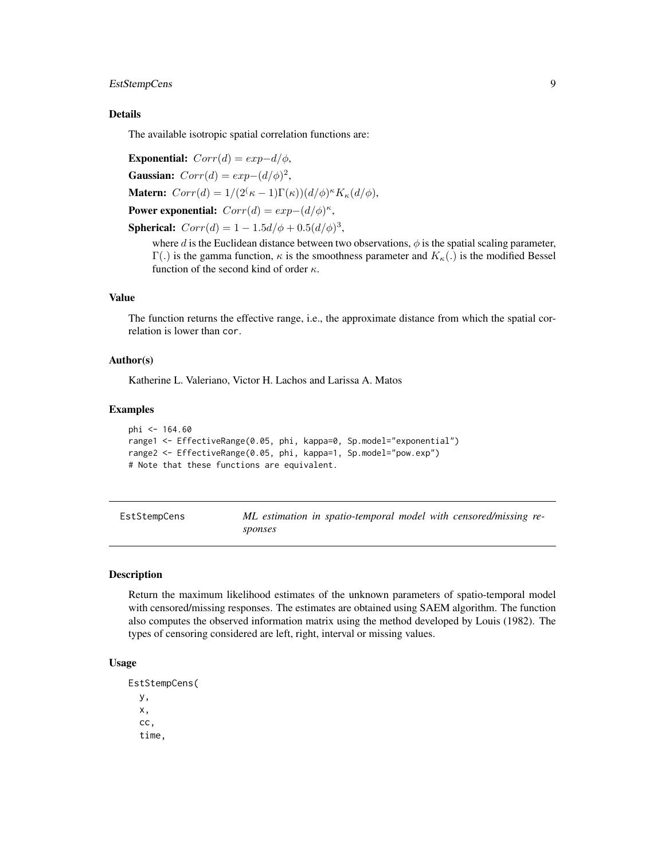#### <span id="page-8-0"></span>EstStempCens 9

#### Details

The available isotropic spatial correlation functions are:

Exponential:  $Corr(d) = exp-d/\phi$ , Gaussian:  $Corr(d) = exp-(d/\phi)^2$ , **Matern:**  $Corr(d) = 1/(2^{\binom{k}{-1}}\Gamma(k))(d/\phi)^{\kappa}K_{\kappa}(d/\phi),$ Power exponential:  $Corr(d) = exp-(d/\phi)^{\kappa}$ , **Spherical:**  $Corr(d) = 1 - 1.5d/\phi + 0.5(d/\phi)^3$ ,

where  $d$  is the Euclidean distance between two observations,  $\phi$  is the spatial scaling parameter, Γ(.) is the gamma function,  $κ$  is the smoothness parameter and  $K_κ(.)$  is the modified Bessel function of the second kind of order  $\kappa$ .

#### Value

The function returns the effective range, i.e., the approximate distance from which the spatial correlation is lower than cor.

#### Author(s)

Katherine L. Valeriano, Victor H. Lachos and Larissa A. Matos

#### Examples

```
phi <- 164.60
range1 <- EffectiveRange(0.05, phi, kappa=0, Sp.model="exponential")
range2 <- EffectiveRange(0.05, phi, kappa=1, Sp.model="pow.exp")
# Note that these functions are equivalent.
```
<span id="page-8-1"></span>EstStempCens *ML estimation in spatio-temporal model with censored/missing responses*

#### Description

Return the maximum likelihood estimates of the unknown parameters of spatio-temporal model with censored/missing responses. The estimates are obtained using SAEM algorithm. The function also computes the observed information matrix using the method developed by Louis (1982). The types of censoring considered are left, right, interval or missing values.

#### Usage

```
EstStempCens(
  y,
  x,
  cc,
  time,
```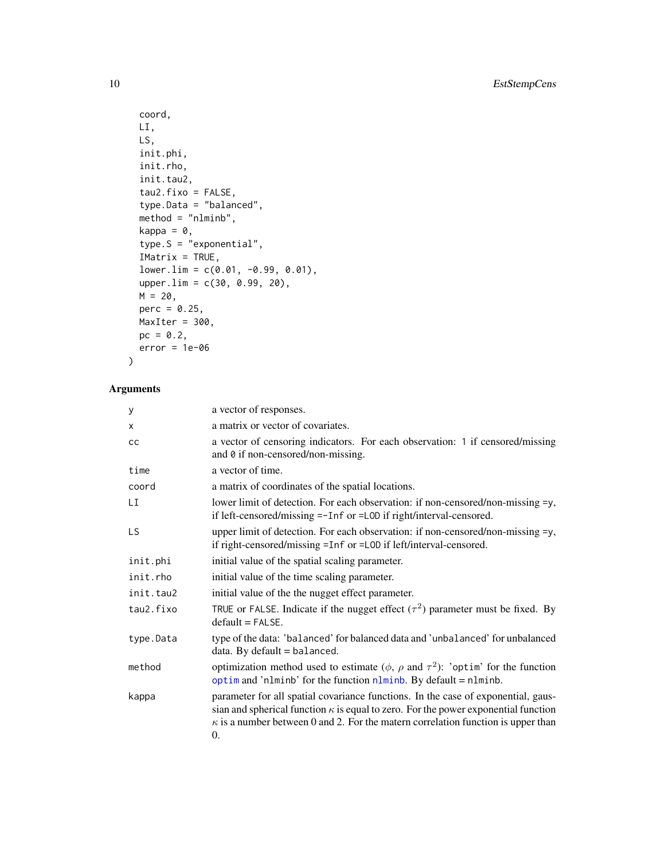```
coord,
 LI,
 LS,
 init.phi,
 init.rho,
 init.tau2,
  tau2.fixo = FALSE,type.Data = "balanced",
 method = "nlminb",kappa = 0,
 type.S = "exponential",
  IMatrix = TRUE,
 lower.lim = c(0.01, -0.99, 0.01),
 upper.lim = c(30, 0.99, 20),
 M = 20,perc = 0.25,
 MaxIter = 300,
 pc = 0.2,
 error = 1e-06
\mathcal{L}
```

| y         | a vector of responses.                                                                                                                                                                                                                                                          |
|-----------|---------------------------------------------------------------------------------------------------------------------------------------------------------------------------------------------------------------------------------------------------------------------------------|
| X         | a matrix or vector of covariates.                                                                                                                                                                                                                                               |
| cс        | a vector of censoring indicators. For each observation: 1 if censored/missing<br>and 0 if non-censored/non-missing.                                                                                                                                                             |
| time      | a vector of time.                                                                                                                                                                                                                                                               |
| coord     | a matrix of coordinates of the spatial locations.                                                                                                                                                                                                                               |
| LI        | lower limit of detection. For each observation: if non-censored/non-missing =y,<br>if left-censored/missing =-Inf or =LOD if right/interval-censored.                                                                                                                           |
| LS        | upper limit of detection. For each observation: if non-censored/non-missing =y,<br>if right-censored/missing =Inf or =L0D if left/interval-censored.                                                                                                                            |
| init.phi  | initial value of the spatial scaling parameter.                                                                                                                                                                                                                                 |
| init.rho  | initial value of the time scaling parameter.                                                                                                                                                                                                                                    |
| init.tau2 | initial value of the the nugget effect parameter.                                                                                                                                                                                                                               |
| tau2.fixo | TRUE or FALSE. Indicate if the nugget effect $(\tau^2)$ parameter must be fixed. By<br>$default = FALSE.$                                                                                                                                                                       |
| type.Data | type of the data: 'balanced' for balanced data and 'unbalanced' for unbalanced<br>data. By default $=$ balanced.                                                                                                                                                                |
| method    | optimization method used to estimate ( $\phi$ , $\rho$ and $\tau^2$ ): 'optim' for the function<br>optim and 'nlminb' for the function $nlminh$ . By default = $nlminb$ .                                                                                                       |
| kappa     | parameter for all spatial covariance functions. In the case of exponential, gaus-<br>sian and spherical function $\kappa$ is equal to zero. For the power exponential function<br>$\kappa$ is a number between 0 and 2. For the matern correlation function is upper than<br>0. |

<span id="page-9-0"></span>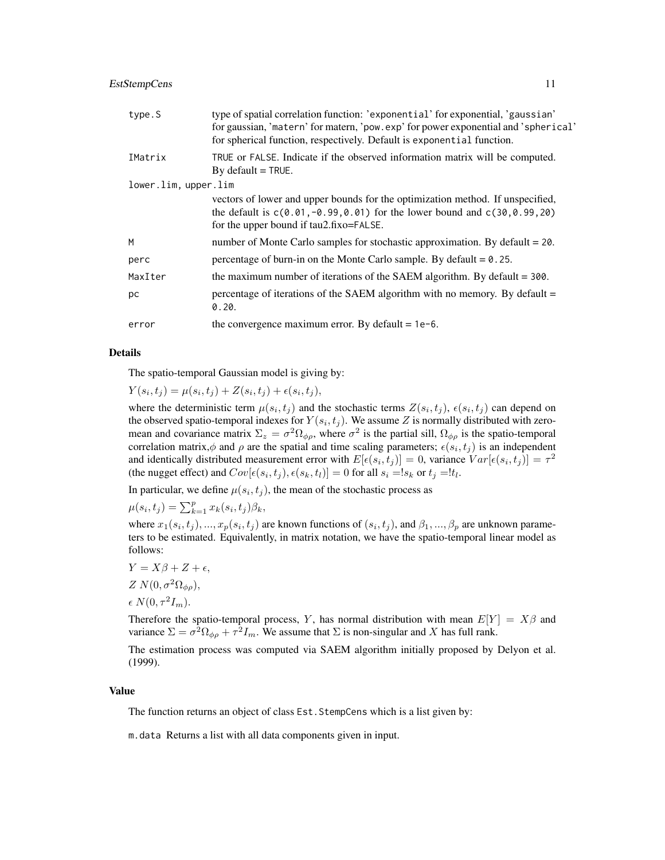| type.S               | type of spatial correlation function: 'exponential' for exponential, 'gaussian'<br>for gaussian, 'matern' for matern, 'pow.exp' for power exponential and 'spherical'<br>for spherical function, respectively. Default is exponential function. |  |  |  |  |
|----------------------|-------------------------------------------------------------------------------------------------------------------------------------------------------------------------------------------------------------------------------------------------|--|--|--|--|
| IMatrix              | TRUE or FALSE. Indicate if the observed information matrix will be computed.<br>By default $=$ TRUE.                                                                                                                                            |  |  |  |  |
| lower.lim, upper.lim |                                                                                                                                                                                                                                                 |  |  |  |  |
|                      | vectors of lower and upper bounds for the optimization method. If unspecified,<br>the default is $c(0.01, -0.99, 0.01)$ for the lower bound and $c(30, 0.99, 20)$<br>for the upper bound if tau2.fixo=FALSE.                                    |  |  |  |  |
| M                    | number of Monte Carlo samples for stochastic approximation. By default $= 20$ .                                                                                                                                                                 |  |  |  |  |
| perc                 | percentage of burn-in on the Monte Carlo sample. By default $= 0.25$ .                                                                                                                                                                          |  |  |  |  |
| MaxIter              | the maximum number of iterations of the SAEM algorithm. By default $=$ 300.                                                                                                                                                                     |  |  |  |  |
| рc                   | percentage of iterations of the SAEM algorithm with no memory. By default =<br>0.20.                                                                                                                                                            |  |  |  |  |
| error                | the convergence maximum error. By default = $1e-6$ .                                                                                                                                                                                            |  |  |  |  |
|                      |                                                                                                                                                                                                                                                 |  |  |  |  |

#### Details

The spatio-temporal Gaussian model is giving by:

 $Y(s_i, t_j) = \mu(s_i, t_j) + Z(s_i, t_j) + \epsilon(s_i, t_j),$ 

where the deterministic term  $\mu(s_i, t_j)$  and the stochastic terms  $Z(s_i, t_j)$ ,  $\epsilon(s_i, t_j)$  can depend on the observed spatio-temporal indexes for  $Y(s_i, t_j)$ . We assume Z is normally distributed with zeromean and covariance matrix  $\Sigma_z = \sigma^2 \Omega_{\phi\rho}$ , where  $\sigma^2$  is the partial sill,  $\Omega_{\phi\rho}$  is the spatio-temporal correlation matrix, $\phi$  and  $\rho$  are the spatial and time scaling parameters;  $\epsilon(s_i, t_j)$  is an independent and identically distributed measurement error with  $E[\epsilon(s_i, t_j)] = 0$ , variance  $Var[\epsilon(s_i, t_j)] = \tau^2$ (the nugget effect) and  $Cov[\epsilon(s_i, t_j), \epsilon(s_k, t_l)] = 0$  for all  $s_i = !s_k$  or  $t_j = !t_l$ .

In particular, we define  $\mu(s_i, t_j)$ , the mean of the stochastic process as

 $\mu(s_i, t_j) = \sum_{k=1}^p x_k(s_i, t_j) \beta_k,$ 

where  $x_1(s_i,t_j),...,x_p(s_i,t_j)$  are known functions of  $(s_i,t_j)$ , and  $\beta_1,...,\beta_p$  are unknown parameters to be estimated. Equivalently, in matrix notation, we have the spatio-temporal linear model as follows:

$$
Y = X\beta + Z + \epsilon,
$$

$$
Z N(0, \sigma^2 \Omega_{\phi \rho}),
$$

$$
\epsilon N(0, \tau^2 I_m).
$$

Therefore the spatio-temporal process, Y, has normal distribution with mean  $E[Y] = X\beta$  and variance  $\Sigma = \sigma^2 \Omega_{\phi \rho} + \tau^2 I_m$ . We assume that  $\Sigma$  is non-singular and X has full rank.

The estimation process was computed via SAEM algorithm initially proposed by Delyon et al. (1999).

#### Value

The function returns an object of class Est.StempCens which is a list given by:

m.data Returns a list with all data components given in input.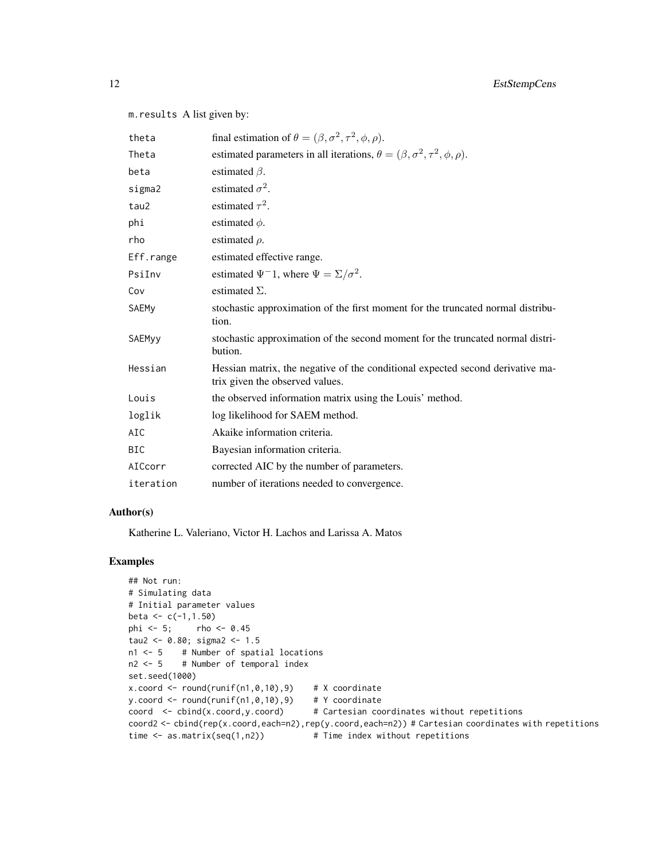m.results A list given by:

| theta        | final estimation of $\theta = (\beta, \sigma^2, \tau^2, \phi, \rho)$ .                                            |
|--------------|-------------------------------------------------------------------------------------------------------------------|
| Theta        | estimated parameters in all iterations, $\theta = (\beta, \sigma^2, \tau^2, \phi, \rho)$ .                        |
| beta         | estimated $\beta$ .                                                                                               |
| sigma2       | estimated $\sigma^2$ .                                                                                            |
| tau2         | estimated $\tau^2$ .                                                                                              |
| phi          | estimated $\phi$ .                                                                                                |
| rho          | estimated $\rho$ .                                                                                                |
| Eff.range    | estimated effective range.                                                                                        |
| PsiInv       | estimated $\Psi^{-1}$ , where $\Psi = \Sigma / \sigma^2$ .                                                        |
| Cov          | estimated $\Sigma$ .                                                                                              |
| <b>SAEMy</b> | stochastic approximation of the first moment for the truncated normal distribu-<br>tion.                          |
| SAEMyy       | stochastic approximation of the second moment for the truncated normal distri-<br>bution.                         |
| Hessian      | Hessian matrix, the negative of the conditional expected second derivative ma-<br>trix given the observed values. |
| Louis        | the observed information matrix using the Louis' method.                                                          |
| loglik       | log likelihood for SAEM method.                                                                                   |
| AIC          | Akaike information criteria.                                                                                      |
| <b>BIC</b>   | Bayesian information criteria.                                                                                    |
| AICcorr      | corrected AIC by the number of parameters.                                                                        |
| iteration    | number of iterations needed to convergence.                                                                       |

#### Author(s)

Katherine L. Valeriano, Victor H. Lachos and Larissa A. Matos

```
## Not run:
# Simulating data
# Initial parameter values
beta <-c(-1,1.50)phi <- 5; rho <- 0.45
tau2 <- 0.80; sigma2 <- 1.5
n1 <- 5 # Number of spatial locations
n2 < -5 # Number of temporal index
set.seed(1000)
x.\text{coord} <= \text{round}(\text{runif(n1,0,10),9}) # X coordinate
y.coord <- round(runif(n1,0,10),9) # Y coordinate
coord <- cbind(x.coord,y.coord) # Cartesian coordinates without repetitions
coord2 <- cbind(rep(x.coord,each=n2),rep(y.coord,each=n2)) # Cartesian coordinates with repetitions
time \leq as.matrix(seq(1,n2)) # Time index without repetitions
```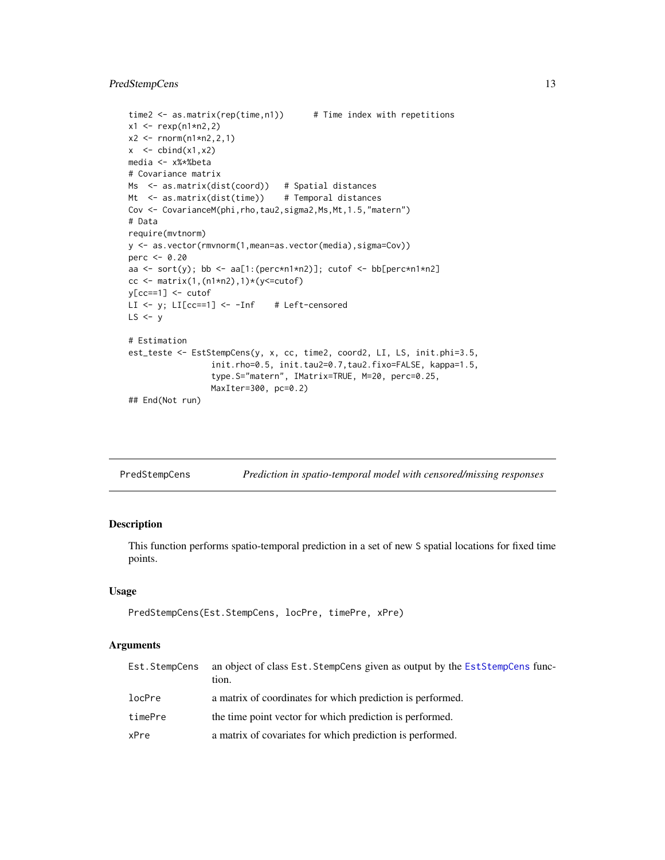#### <span id="page-12-0"></span>PredStempCens 13

```
time2 \leq as.matrix(rep(time,n1)) # Time index with repetitions
x1 \le - rexp(n1*n2,2)
x2 \le rnorm(n1*n2,2,1)
x < - \text{cbind}(x1, x2)media <- x%*%beta
# Covariance matrix
Ms <- as.matrix(dist(coord)) # Spatial distances
Mt <- as.matrix(dist(time)) # Temporal distances
Cov <- CovarianceM(phi,rho,tau2,sigma2,Ms,Mt,1.5,"matern")
# Data
require(mvtnorm)
y <- as.vector(rmvnorm(1,mean=as.vector(media),sigma=Cov))
perc <- 0.20
aa <- sort(y); bb <- aa[1:(perc*n1*n2)]; cutof <- bb[perc*n1*n2]
cc <- matrix(1,(n1*n2),1)*(y<=cutoff)y[cc==1] <- cutof
LI <- y; LI[cc==1] <- -Inf # Left-censored
LS < -y# Estimation
est_teste <- EstStempCens(y, x, cc, time2, coord2, LI, LS, init.phi=3.5,
                 init.rho=0.5, init.tau2=0.7,tau2.fixo=FALSE, kappa=1.5,
                 type.S="matern", IMatrix=TRUE, M=20, perc=0.25,
                 MaxIter=300, pc=0.2)
## End(Not run)
```
<span id="page-12-1"></span>

| PredStempCens |  | Prediction in spatio-temporal model with censored/missing responses |  |
|---------------|--|---------------------------------------------------------------------|--|
|               |  |                                                                     |  |

#### Description

This function performs spatio-temporal prediction in a set of new S spatial locations for fixed time points.

#### Usage

```
PredStempCens(Est.StempCens, locPre, timePre, xPre)
```

| Est.StempCens | an object of class Est. StempCens given as output by the EstStempCens func-<br>tion. |
|---------------|--------------------------------------------------------------------------------------|
| locPre        | a matrix of coordinates for which prediction is performed.                           |
| timePre       | the time point vector for which prediction is performed.                             |
| xPre          | a matrix of covariates for which prediction is performed.                            |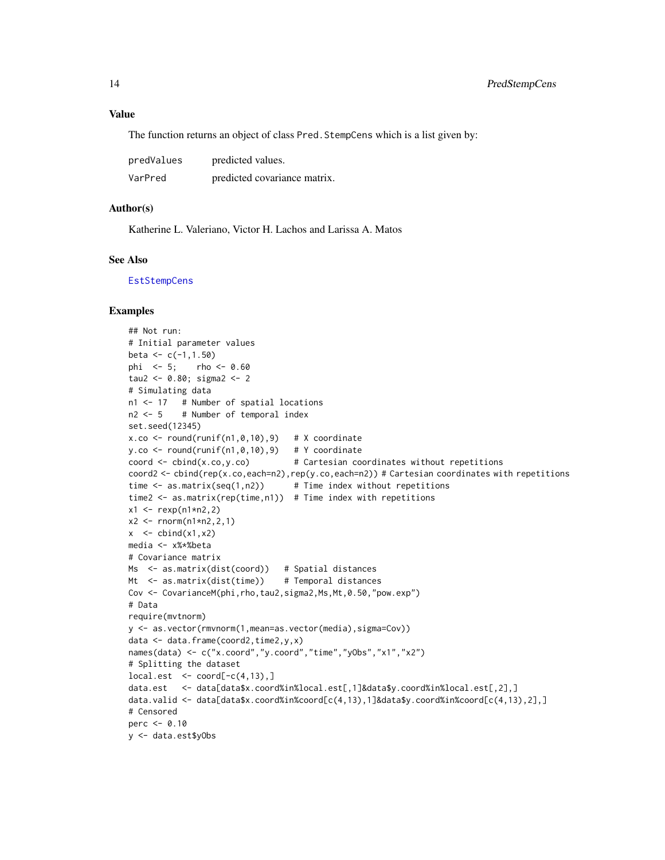<span id="page-13-0"></span>The function returns an object of class Pred. StempCens which is a list given by:

| predValues | predicted values.            |
|------------|------------------------------|
| VarPred    | predicted covariance matrix. |

#### Author(s)

Katherine L. Valeriano, Victor H. Lachos and Larissa A. Matos

#### See Also

**[EstStempCens](#page-8-1)** 

```
## Not run:
# Initial parameter values
beta <-c(-1,1.50)phi <- 5; rho <- 0.60
tau2 <- 0.80; sigma2 <- 2
# Simulating data
n1 <- 17 # Number of spatial locations
n2 < -5 # Number of temporal index
set.seed(12345)
x.co \le round(runif(n1,0,10),9) # X coordinate
y.co \le round(runif(n1,0,10),9) # Y coordinate
coord \le cbind(x.co,y.co) # Cartesian coordinates without repetitions
coord2 <- cbind(rep(x.co,each=n2),rep(y.co,each=n2)) # Cartesian coordinates with repetitions
time \leq as.matrix(seq(1,n2)) # Time index without repetitions
time2 <- as.matrix(rep(time,n1)) # Time index with repetitions
x1 \le - rexp(n1*n2,2)
x2 \le - rnorm(n1*n2,2,1)
x \le - cbind(x1, x2)
media <- x%*%beta
# Covariance matrix
Ms <- as.matrix(dist(coord)) # Spatial distances
Mt <- as.matrix(dist(time)) # Temporal distances
Cov <- CovarianceM(phi,rho,tau2,sigma2,Ms,Mt,0.50,"pow.exp")
# Data
require(mvtnorm)
y <- as.vector(rmvnorm(1,mean=as.vector(media),sigma=Cov))
data <- data.frame(coord2,time2,y,x)
names(data) <- c("x.coord","y.coord","time","yObs","x1","x2")
# Splitting the dataset
local.set < <>coord[-c(4,13),]data.est <- data[data$x.coord%in%local.est[,1]&data$y.coord%in%local.est[,2],]
data.valid <- data[data$x.coord%in%coord[c(4,13),1]&data$y.coord%in%coord[c(4,13),2],]
# Censored
perc <- 0.10
y <- data.est$yObs
```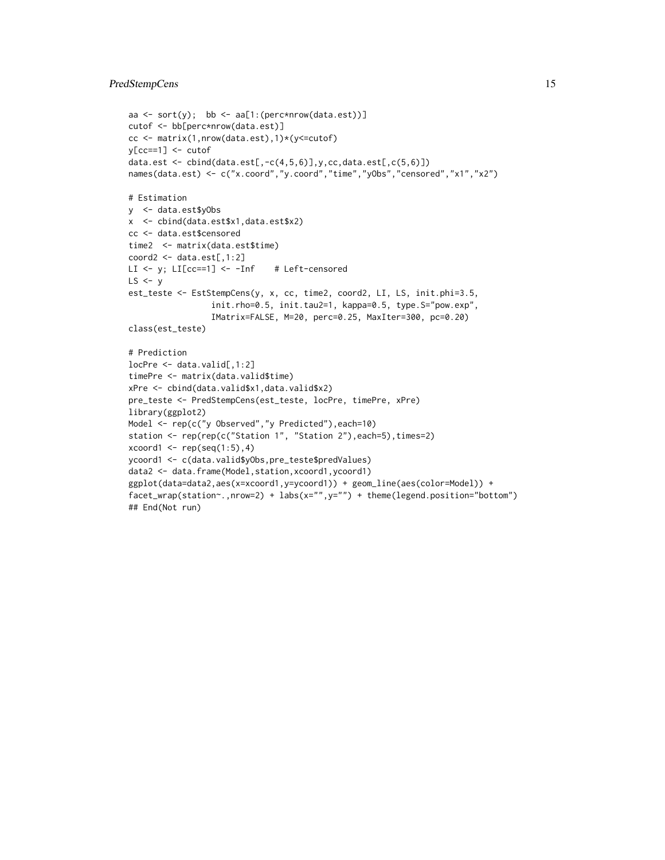#### PredStempCens 15

```
aa \le sort(y); bb \le aa[1:(perc*nrow(data.est))]
cutof <- bb[perc*nrow(data.est)]
cc <- matrix(1,nrow(data.est),1)*(y<=cutof)
y[cc==1] <- cutof
data.est \leq cbind(data.est[,-c(4,5,6)],y,cc,data.est[,c(5,6)])
names(data.est) <- c("x.coord","y.coord","time","yObs","censored","x1","x2")
# Estimation
y <- data.est$yObs
x <- cbind(data.est$x1,data.est$x2)
cc <- data.est$censored
time2 <- matrix(data.est$time)
coord2 <- data.est[,1:2]
LI \leftarrow y; LI[cc==1] \leftarrow -Inf # Left-censored
LS < -yest_teste <- EstStempCens(y, x, cc, time2, coord2, LI, LS, init.phi=3.5,
                 init.rho=0.5, init.tau2=1, kappa=0.5, type.S="pow.exp",
                 IMatrix=FALSE, M=20, perc=0.25, MaxIter=300, pc=0.20)
class(est_teste)
# Prediction
locPre <- data.valid[,1:2]
timePre <- matrix(data.valid$time)
xPre <- cbind(data.valid$x1,data.valid$x2)
pre_teste <- PredStempCens(est_teste, locPre, timePre, xPre)
library(ggplot2)
Model <- rep(c("y Observed","y Predicted"),each=10)
station <- rep(rep(c("Station 1", "Station 2"),each=5),times=2)
xcoord1 \leftarrow rep(seq(1:5), 4)ycoord1 <- c(data.valid$yObs,pre_teste$predValues)
data2 <- data.frame(Model,station,xcoord1,ycoord1)
ggplot(data=data2,aes(x=xcoord1,y=ycoord1)) + geom_line(aes(color=Model)) +
facet_wrap(station~.,nrow=2) + labs(x="",y="") + theme(legend.position="bottom")
## End(Not run)
```